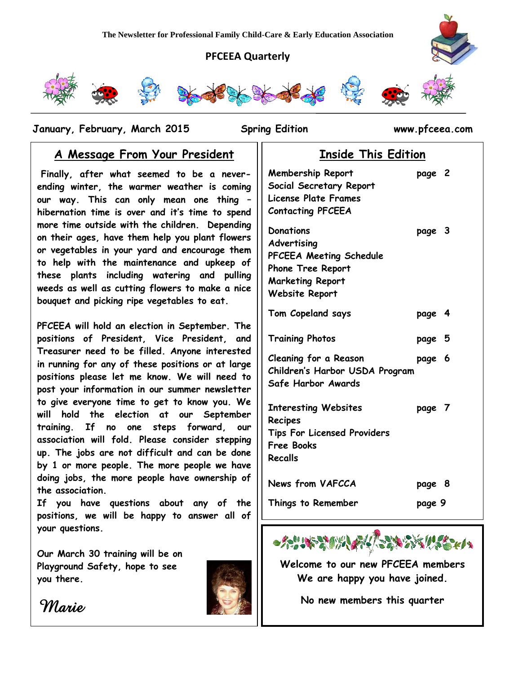#### **PFCEEA Quarterly**



 **January, February, March 2015 Spring Edition www.pfceea.com**

### **A Message From Your President**

**Finally, after what seemed to be a neverending winter, the warmer weather is coming our way. This can only mean one thing – hibernation time is over and it's time to spend more time outside with the children. Depending on their ages, have them help you plant flowers or vegetables in your yard and encourage them to help with the maintenance and upkeep of these plants including watering and pulling weeds as well as cutting flowers to make a nice bouquet and picking ripe vegetables to eat.**

**PFCEEA will hold an election in September. The positions of President, Vice President, and Treasurer need to be filled. Anyone interested in running for any of these positions or at large positions please let me know. We will need to post your information in our summer newsletter to give everyone time to get to know you. We will hold the election at our September training. If no one steps forward, our association will fold. Please consider stepping up. The jobs are not difficult and can be done by 1 or more people. The more people we have doing jobs, the more people have ownership of the association.**

**If you have questions about any of the positions, we will be happy to answer all of your questions.**

**Our March 30 training will be on Playground Safety, hope to see you there.** 



*Marie* 



### **Inside This Edition**

| <b>Membership Report</b><br>Social Secretary Report<br><b>License Plate Frames</b><br><b>Contacting PFCEEA</b>               | page 2 |  |
|------------------------------------------------------------------------------------------------------------------------------|--------|--|
| Donations<br>Advertising<br>PFCEEA Meeting Schedule<br><b>Phone Tree Report</b><br><b>Marketing Report</b><br>Website Report | page 3 |  |
| Tom Copeland says                                                                                                            | page 4 |  |
| <b>Training Photos</b>                                                                                                       | page 5 |  |
| <b>Cleaning for a Reason</b><br>Children's Harbor USDA Program<br>Safe Harbor Awards                                         | page 6 |  |
| <b>Interesting Websites</b><br>Recipes<br><b>Tips For Licensed Providers</b><br><b>Free Books</b><br>Recalls                 | page 7 |  |
| <b>News from VAFCCA</b>                                                                                                      | page 8 |  |
| Things to Remember                                                                                                           | page 9 |  |



**Welcome to our new PFCEEA members We are happy you have joined.**

**No new members this quarter**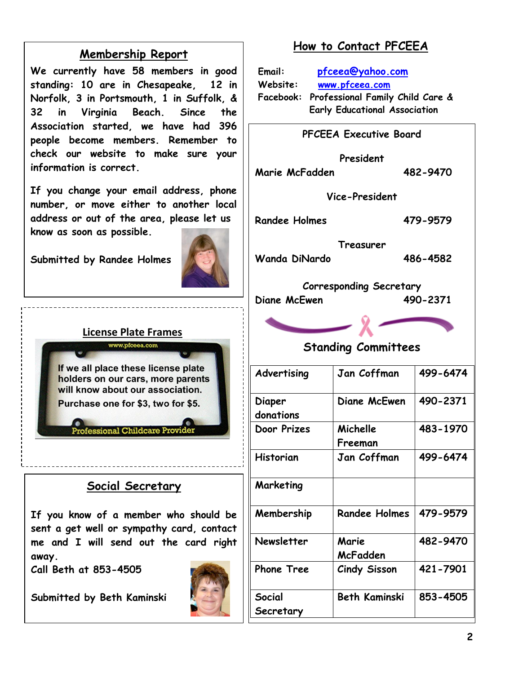### **Membership Report**

**We currently have 58 members in good standing: 10 are in Chesapeake, 12 in Norfolk, 3 in Portsmouth, 1 in Suffolk, & 32 in Virginia Beach. Since the Association started, we have had 396 people become members. Remember to check our website to make sure your information is correct.** 

**If you change your email address, phone number, or move either to another local address or out of the area, please let us know as soon as possible.**

**Submitted by Randee Holmes**



#### **License Plate Frames** www.pfceea.com

If we all place these license plate holders on our cars, more parents will know about our association. Purchase one for \$3, two for \$5.

### **fessional Childcare Provi**

## **Social Secretary**

**If you know of a member who should be sent a get well or sympathy card, contact me and I will send out the card right away.**

**Call Beth at 853-4505**

**Submitted by Beth Kaminski**



## **How to Contact PFCEEA**

**Email: [pfceea@yahoo.com](mailto:pfceea@yahoo.com) Website: [www.pfceea.com](http://www.pfceea.com/) Facebook: Professional Family Child Care & Early Educational Association**

| <b>PFCEEA Executive Board</b>           |                      |          |  |  |
|-----------------------------------------|----------------------|----------|--|--|
| President<br>Marie McFadden<br>482-9470 |                      |          |  |  |
| Vice-President                          |                      |          |  |  |
| <b>Randee Holmes</b>                    | 479-9579             |          |  |  |
| Treasurer                               |                      |          |  |  |
| <b>Wanda DiNardo</b>                    | 486-4582             |          |  |  |
| <b>Corresponding Secretary</b>          |                      |          |  |  |
| Diane McEwen<br>490-2371                |                      |          |  |  |
|                                         |                      |          |  |  |
| <b>Standing Committees</b>              |                      |          |  |  |
| Advertising                             | Jan Coffman          | 499-6474 |  |  |
| Diaper<br>donations                     | Diane McEwen         | 490-2371 |  |  |
| Door Prizes                             | Michelle<br>Freeman  | 483-1970 |  |  |
| <b>Historian</b>                        | Jan Coffman          | 499-6474 |  |  |
| Marketing                               |                      |          |  |  |
| Membership                              | <b>Randee Holmes</b> | 479-9579 |  |  |
| Newsletter                              | Marie<br>McFadden    | 482-9470 |  |  |
| <b>Phone Tree</b>                       | <b>Cindy Sisson</b>  | 421-7901 |  |  |
| Social<br>Secretary                     | <b>Beth Kaminski</b> | 853-4505 |  |  |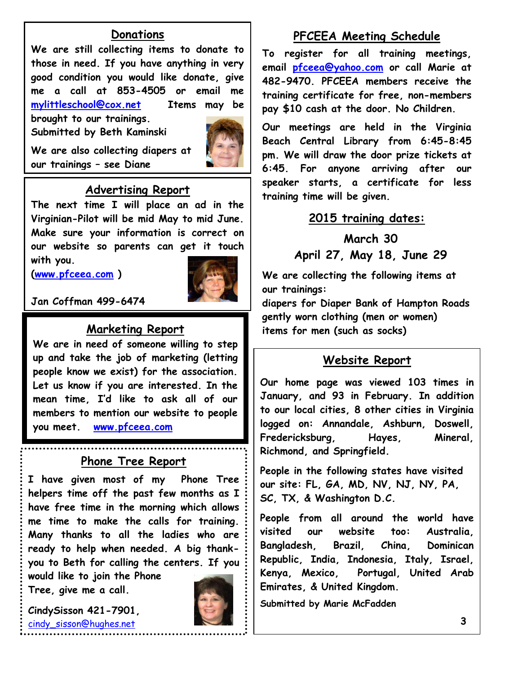### **Donations**

**We are still collecting items to donate to those in need. If you have anything in very good condition you would like donate, give me a call at 853-4505 or email me [mylittleschool@cox.net](mailto:mylittleschool@cox.net) Items may be brought to our trainings.**

**Submitted by Beth Kaminski**



**We are also collecting diapers at our trainings – see Diane**

### **Advertising Report**

**The next time I will place an ad in the Virginian-Pilot will be mid May to mid June. Make sure your information is correct on our website so parents can get it touch with you.** 

**[\(www.pfceea.com](http://www.pfceea.com/) )**



**Jan Coffman 499-6474**

## **Marketing Report**

**We are in need of someone willing to step up and take the job of marketing (letting people know we exist) for the association. Let us know if you are interested. In the mean time, I'd like to ask all of our members to mention our website to people you meet. [www.pfceea.com](http://www.pfceea.com/)**

#### **Phone Tree Report**

**I have given most of my Phone Tree helpers time off the past few months as I have free time in the morning which allows me time to make the calls for training. Many thanks to all the ladies who are ready to help when needed. A big thankyou to Beth for calling the centers. If you** 

**would like to join the Phone Tree, give me a call.** 

**CindySisson 421-7901,**  [cindy\\_sisson@hughes.net](mailto:cindy_sisson@hughes.net)

**Phone Tree Chairwoman**



### **PFCEEA Meeting Schedule**

**To register for all training meetings, email [pfceea@yahoo.com](mailto:pfceea@yahoo.com) or call Marie at 482-9470. PFCEEA members receive the training certificate for free, non-members pay \$10 cash at the door. No Children.**

**Our meetings are held in the Virginia Beach Central Library from 6:45-8:45 pm. We will draw the door prize tickets at 6:45. For anyone arriving after our speaker starts, a certificate for less training time will be given.** 

#### **2015 training dates:**

**March 30 April 27, May 18, June 29**

**We are collecting the following items at our trainings:**

**diapers for Diaper Bank of Hampton Roads gently worn clothing (men or women) items for men (such as socks)** 

#### **Website Report**

**Our home page was viewed 103 times in January, and 93 in February. In addition to our local cities, 8 other cities in Virginia logged on: Annandale, Ashburn, Doswell, Fredericksburg, Hayes, Mineral, Richmond, and Springfield.**

**People in the following states have visited our site: FL, GA, MD, NV, NJ, NY, PA, SC, TX, & Washington D.C.** 

**People from all around the world have visited our website too: Australia, Bangladesh, Brazil, China, Dominican Republic, India, Indonesia, Italy, Israel, Kenya, Mexico, Portugal, United Arab Emirates, & United Kingdom.**

**Submitted by Marie McFadden**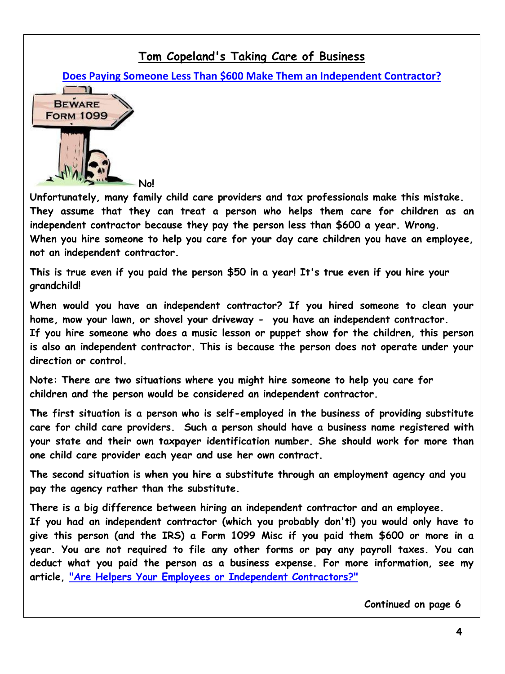## **[Tom Copeland's Taking Care of Business](http://www.tomcopelandblog.com/)**

**[Does Paying Someone Less Than \\$600 Make Them an Independent Contractor?](http://www.tomcopelandblog.com/2015/02/does-paying-someone-less-than-600-make-them-an-independent-contractor.html)**



**Unfortunately, many family child care providers and tax professionals make this mistake. They assume that they can treat a person who helps them care for children as an independent contractor because they pay the person less than \$600 a year. Wrong. When you hire someone to help you care for your day care children you have an employee, not an independent contractor.**

**This is true even if you paid the person \$50 in a year! It's true even if you hire your grandchild!**

**When would you have an independent contractor? If you hired someone to clean your home, mow your lawn, or shovel your driveway - you have an independent contractor. If you hire someone who does a music lesson or puppet show for the children, this person is also an independent contractor. This is because the person does not operate under your direction or control.**

**Note: There are two situations where you might hire someone to help you care for children and the person would be considered an independent contractor.**

**The first situation is a person who is self-employed in the business of providing substitute care for child care providers. Such a person should have a business name registered with your state and their own taxpayer identification number. She should work for more than one child care provider each year and use her own contract.**

**The second situation is when you hire a substitute through an employment agency and you pay the agency rather than the substitute.**

**There is a big difference between hiring an independent contractor and an employee.**

**If you had an independent contractor (which you probably don't!) you would only have to give this person (and the IRS) a Form 1099 Misc if you paid them \$600 or more in a year. You are not required to file any other forms or pay any payroll taxes. You can deduct what you paid the person as a business expense. For more information, see my article, ["Are Helpers Your Employees or Independent Contractors?"](http://www.tomcopelandblog.com/2011/03/are-your-helpers-employees-or-independent-contractors.html)**

 **Continued on page 6**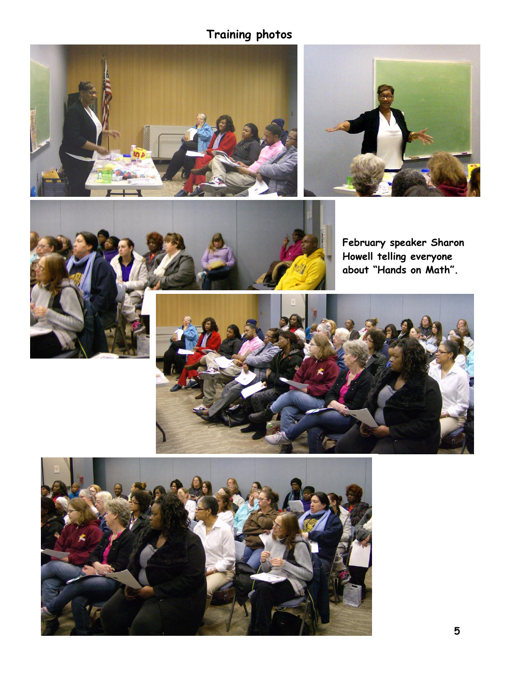# **Training photos**





**February speaker Sharon Howell telling everyone about "Hands on Math".**



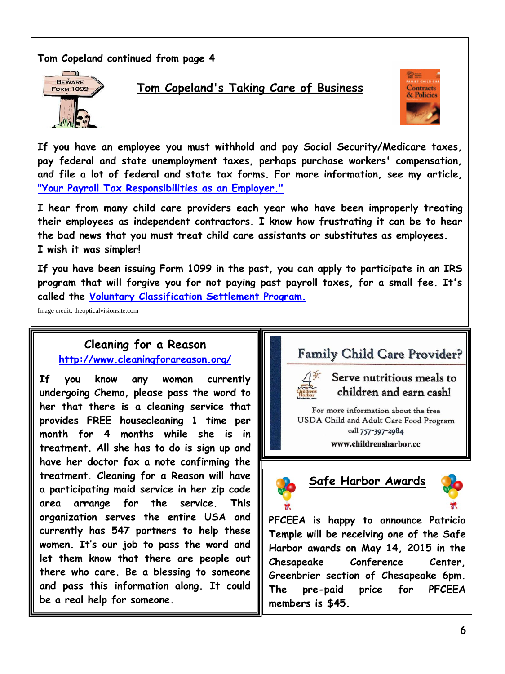#### **Tom Copeland continued from page 4**



### **[Tom Copeland's Taking Care of Business](http://www.tomcopelandblog.com/)**



**If you have an employee you must withhold and pay Social Security/Medicare taxes, pay federal and state unemployment taxes, perhaps purchase workers' compensation, and file a lot of federal and state tax forms. For more information, see my article, ["Your Payroll Tax Responsibilities as an Employer."](http://www.tomcopelandblog.com/2011/04/the-many-responsibilities-of-hiring-an-employee.html)**

**I hear from many child care providers each year who have been improperly treating their employees as independent contractors. I know how frustrating it can be to hear the bad news that you must treat child care assistants or substitutes as employees. I wish it was simpler!**

**If you have been issuing Form 1099 in the past, you can apply to participate in an IRS program that will forgive you for not paying past payroll taxes, for a small fee. It's called the [Voluntary Classification Settlement Program.](http://www.irs.gov/uac/IRS-Announces-New-Voluntary-Worker-Classification-Settlement-Program%3b-Past-Payroll-Tax-Relief-Provided-to-Employers-Who-Reclassify-Their-Workers)**

Image credit: theopticalvisionsite.com

### **Cleaning for a Reason <http://www.cleaningforareason.org/>**

**If you know any woman currently undergoing Chemo, please pass the word to her that there is a cleaning service that provides FREE housecleaning 1 time per month for 4 months while she is in treatment. All she has to do is sign up and have her doctor fax a note confirming the treatment. Cleaning for a Reason will have a participating maid service in her zip code area arrange for the service. This organization serves the entire USA and currently has 547 partners to help these women. It's our job to pass the word and let them know that there are people out there who care. Be a blessing to someone and pass this information along. It could be a real help for someone.**





For more information about the free USDA Child and Adult Care Food Program call 757-397-2984

www.childrensharbor.cc



**Safe Harbor Awards**



**PFCEEA is happy to announce Patricia Temple will be receiving one of the Safe Harbor awards on May 14, 2015 in the Chesapeake Conference Center, Greenbrier section of Chesapeake 6pm. The pre-paid price for PFCEEA members is \$45.**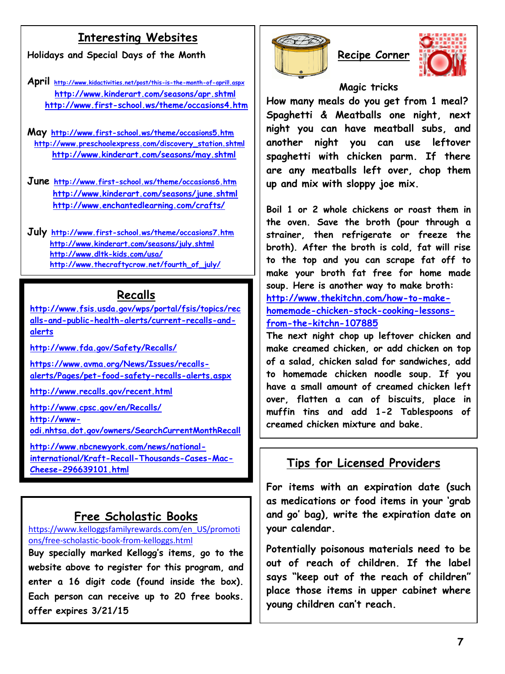## **Interesting Websites**

**Holidays and Special Days of the Month**

**April <http://www.kidactivities.net/post/this-is-the-month-of-april!.aspx> <http://www.kinderart.com/seasons/apr.shtml> <http://www.first-school.ws/theme/occasions4.htm>**

**May <http://www.first-school.ws/theme/occasions5.htm> [http://www.preschoolexpress.com/discovery\\_station.shtml](http://www.preschoolexpress.com/discovery_station.shtml) <http://www.kinderart.com/seasons/may.shtml>**

**June <http://www.first-school.ws/theme/occasions6.htm> <http://www.kinderart.com/seasons/june.shtml> <http://www.enchantedlearning.com/crafts/>**

**July <http://www.first-school.ws/theme/occasions7.htm> <http://www.kinderart.com/seasons/july.shtml> <http://www.dltk-kids.com/usa/> [http://www.thecraftycrow.net/fourth\\_of\\_july/](http://www.thecraftycrow.net/fourth_of_july/)**

### **Recalls**

**[http://www.fsis.usda.gov/wps/portal/fsis/topics/rec](http://www.fsis.usda.gov/wps/portal/fsis/topics/recalls-and-public-health-alerts/current-recalls-and-alerts) [alls-and-public-health-alerts/current-recalls-and](http://www.fsis.usda.gov/wps/portal/fsis/topics/recalls-and-public-health-alerts/current-recalls-and-alerts)[alerts](http://www.fsis.usda.gov/wps/portal/fsis/topics/recalls-and-public-health-alerts/current-recalls-and-alerts)**

**<http://www.fda.gov/Safety/Recalls/>**

**[https://www.avma.org/News/Issues/recalls](https://www.avma.org/News/Issues/recalls-alerts/Pages/pet-food-safety-recalls-alerts.aspx)[alerts/Pages/pet-food-safety-recalls-alerts.aspx](https://www.avma.org/News/Issues/recalls-alerts/Pages/pet-food-safety-recalls-alerts.aspx)**

**<http://www.recalls.gov/recent.html>**

**<http://www.cpsc.gov/en/Recalls/> [http://www](http://www-odi.nhtsa.dot.gov/owners/SearchCurrentMonthRecall)[odi.nhtsa.dot.gov/owners/SearchCurrentMonthRecall](http://www-odi.nhtsa.dot.gov/owners/SearchCurrentMonthRecall) [http://www.nbcnewyork.com/news/national](http://www.nbcnewyork.com/news/national-international/Kraft-Recall-Thousands-Cases-Mac-Cheese-296639101.html)[international/Kraft-Recall-Thousands-Cases-Mac-](http://www.nbcnewyork.com/news/national-international/Kraft-Recall-Thousands-Cases-Mac-Cheese-296639101.html)[Cheese-296639101.html](http://www.nbcnewyork.com/news/national-international/Kraft-Recall-Thousands-Cases-Mac-Cheese-296639101.html)**

### **Free Scholastic Books**

[https://www.kelloggsfamilyrewards.com/en\\_US/promoti](https://www.kelloggsfamilyrewards.com/en_US/promotions/free-scholastic-book-from-kelloggs.html) [ons/free-scholastic-book-from-kelloggs.html](https://www.kelloggsfamilyrewards.com/en_US/promotions/free-scholastic-book-from-kelloggs.html) **Buy specially marked Kellogg's items, go to the website above to register for this program, and enter a 16 digit code (found inside the box). Each person can receive up to 20 free books. offer expires 3/21/15**





#### **Magic tricks**

**How many meals do you get from 1 meal? Spaghetti & Meatballs one night, next night you can have meatball subs, and another night you can use leftover spaghetti with chicken parm. If there are any meatballs left over, chop them up and mix with sloppy joe mix.**

**Boil 1 or 2 whole chickens or roast them in the oven. Save the broth (pour through a strainer, then refrigerate or freeze the broth). After the broth is cold, fat will rise to the top and you can scrape fat off to make your broth fat free for home made soup. Here is another way to make broth: [http://www.thekitchn.com/how-to-make](http://www.thekitchn.com/how-to-make-homemade-chicken-stock-cooking-lessons-from-the-kitchn-107885)[homemade-chicken-stock-cooking-lessons](http://www.thekitchn.com/how-to-make-homemade-chicken-stock-cooking-lessons-from-the-kitchn-107885)[from-the-kitchn-107885](http://www.thekitchn.com/how-to-make-homemade-chicken-stock-cooking-lessons-from-the-kitchn-107885)**

**The next night chop up leftover chicken and make creamed chicken, or add chicken on top of a salad, chicken salad for sandwiches, add to homemade chicken noodle soup. If you have a small amount of creamed chicken left over, flatten a can of biscuits, place in muffin tins and add 1-2 Tablespoons of creamed chicken mixture and bake.**

## **Tips for Licensed Providers**

**For items with an expiration date (such as medications or food items in your 'grab and go' bag), write the expiration date on your calendar.**

**Potentially poisonous materials need to be out of reach of children. If the label says "keep out of the reach of children" place those items in upper cabinet where young children can't reach.**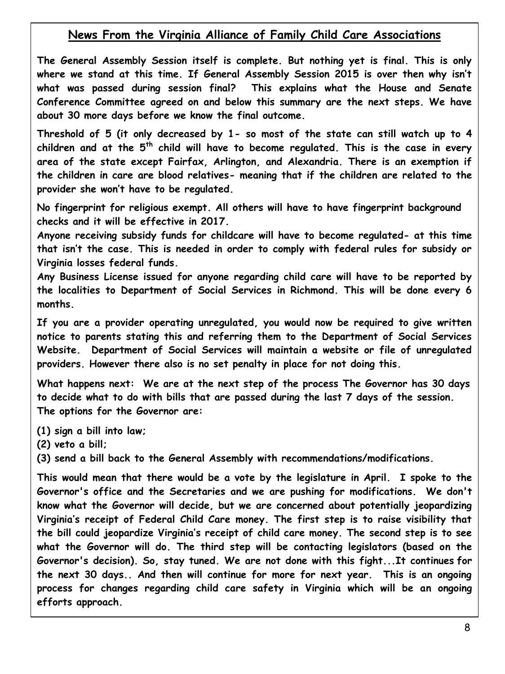### **News From the Virginia Alliance of Family Child Care Associations**

**The General Assembly Session itself is complete. But nothing yet is final. This is only where we stand at this time. If General Assembly Session 2015 is over then why isn't what was passed during session final? This explains what the House and Senate Conference Committee agreed on and below this summary are the next steps. We have about 30 more days before we know the final outcome.**

**Threshold of 5 (it only decreased by 1- so most of the state can still watch up to 4 children and at the 5th child will have to become regulated. This is the case in every area of the state except Fairfax, Arlington, and Alexandria. There is an exemption if the children in care are blood relatives- meaning that if the children are related to the provider she won't have to be regulated.** 

**No fingerprint for religious exempt. All others will have to have fingerprint background checks and it will be effective in 2017.**

**Anyone receiving subsidy funds for childcare will have to become regulated- at this time that isn't the case. This is needed in order to comply with federal rules for subsidy or Virginia losses federal funds.**

**Any Business License issued for anyone regarding child care will have to be reported by the localities to Department of Social Services in Richmond. This will be done every 6 months.**

**If you are a provider operating unregulated, you would now be required to give written notice to parents stating this and referring them to the Department of Social Services Website. Department of Social Services will maintain a website or file of unregulated providers. However there also is no set penalty in place for not doing this.** 

**What happens next: We are at the next step of the process The Governor has 30 days to decide what to do with bills that are passed during the last 7 days of the session. The options for the Governor are:**

**(1) sign a bill into law;** 

**(2) veto a bill;** 

I

**(3) send a bill back to the General Assembly with recommendations/modifications.** 

**This would mean that there would be a vote by the legislature in April. I spoke to the Governor's office and the Secretaries and we are pushing for modifications. We don't know what the Governor will decide, but we are concerned about potentially jeopardizing Virginia's receipt of Federal Child Care money. The first step is to raise visibility that the bill could jeopardize Virginia's receipt of child care money. The second step is to see what the Governor will do. The third step will be contacting legislators (based on the Governor's decision). So, stay tuned. We are not done with this fight...It continues for the next 30 days.. And then will continue for more for next year. This is an ongoing process for changes regarding child care safety in Virginia which will be an ongoing efforts approach.**